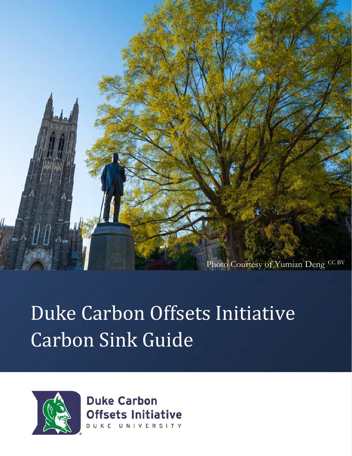

## Duke Carbon Offsets Initiative Carbon Sink Guide



**Duke Carbon Offsets Initiative** DUKE UNIVERSITY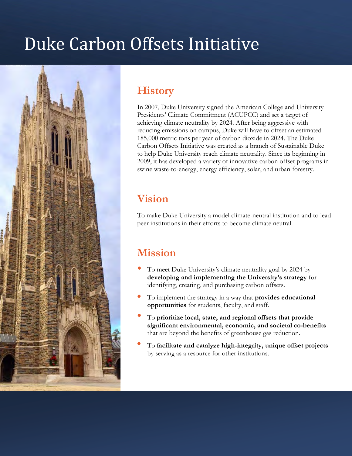### Duke Carbon Offsets Initiative



#### **History**

In 2007, Duke University signed the American College and University Presidents' Climate Commitment (ACUPCC) and set a target of achieving climate neutrality by 2024. After being aggressive with reducing emissions on campus, Duke will have to offset an estimated 185,000 metric tons per year of carbon dioxide in 2024. The Duke Carbon Offsets Initiative was created as a branch of Sustainable Duke to help Duke University reach climate neutrality. Since its beginning in 2009, it has developed a variety of innovative carbon offset programs in swine waste-to-energy, energy efficiency, solar, and urban forestry.

#### **Vision**

To make Duke University a model climate-neutral institution and to lead peer institutions in their efforts to become climate neutral.

#### **Mission**

- To meet Duke University's climate neutrality goal by 2024 by **developing and implementing the University's strategy** for identifying, creating, and purchasing carbon offsets.
- To implement the strategy in a way that **provides educational opportunities** for students, faculty, and staff.
- To **prioritize local, state, and regional offsets that provide significant environmental, economic, and societal co-benefits**  that are beyond the benefits of greenhouse gas reduction.
- To **facilitate and catalyze high-integrity, unique offset projects**  by serving as a resource for other institutions.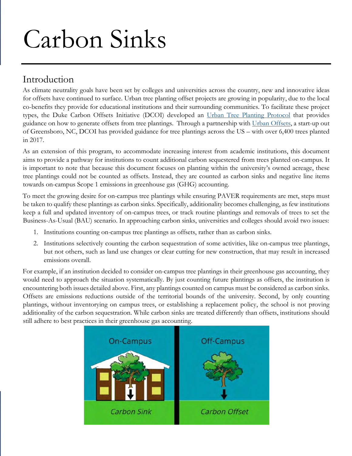# Carbon Sinks

#### Introduction

As climate neutrality goals have been set by colleges and universities across the country, new and innovative ideas for offsets have continued to surface. Urban tree planting offset projects are growing in popularity, due to the local co-benefits they provide for educational institutions and their surrounding communities. To facilitate these project types, the Duke Carbon Offsets Initiative (DCOI) developed an [Urban Tree Planting Protocol](http://sustainability.duke.edu/carbon_offsets/urban_forestry/urbanforestprotocol.pdf) that provides guidance on how to generate offsets from tree plantings. Through a partnership with [Urban Offsets, a](http://urbanoffsets.co/) start-up out of Greensboro, NC, DCOI has provided guidance for tree plantings across the US – with over 6,400 trees planted in 2017.

As an extension of this program, to accommodate increasing interest from academic institutions, this document aims to provide a pathway for institutions to count additional carbon sequestered from trees planted on-campus. It is important to note that because this document focuses on planting within the university's owned acreage, these tree plantings could not be counted as offsets. Instead, they are counted as carbon sinks and negative line items towards on-campus Scope 1 emissions in greenhouse gas (GHG) accounting.

To meet the growing desire for on-campus tree plantings while ensuring PAVER requirements are met, steps must be taken to qualify these plantings as carbon sinks. Specifically, additionality becomes challenging, as few institutions keep a full and updated inventory of on-campus trees, or track routine plantings and removals of trees to set the Business-As-Usual (BAU) scenario. In approaching carbon sinks, universities and colleges should avoid two issues:

- 1. Institutions counting on-campus tree plantings as offsets, rather than as carbon sinks.
- 2. Institutions selectively counting the carbon sequestration of some activities, like on-campus tree plantings, but not others, such as land use changes or clear cutting for new construction, that may result in increased emissions overall.

For example, if an institution decided to consider on-campus tree plantings in their greenhouse gas accounting, they would need to approach the situation systematically. By just counting future plantings as offsets, the institution is encountering both issues detailed above. First, any plantings counted on campus must be considered as carbon sinks. Offsets are emissions reductions outside of the territorial bounds of the university. Second, by only counting plantings, without inventorying on campus trees, or establishing a replacement policy, the school is not proving additionality of the carbon sequestration. While carbon sinks are treated differently than offsets, institutions should still adhere to best practices in their greenhouse gas accounting.

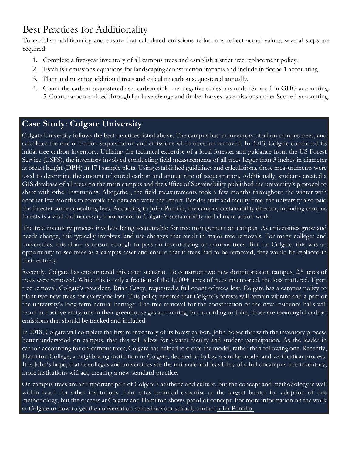#### Best Practices for Additionality

To establish additionality and ensure that calculated emissions reductions reflect actual values, several steps are required:

- 1. Complete a five-year inventory of all campus trees and establish a strict tree replacement policy.
- 2. Establish emissions equations for landscaping/construction impacts and include in Scope 1 accounting.
- 3. Plant and monitor additional trees and calculate carbon sequestered annually.
- 4. Count the carbon sequestered as a carbon sink as negative emissions under Scope 1 in GHG accounting. 5. Count carbon emitted through land use change and timber harvest as emissions under Scope 1 accounting.

#### **Case Study: Colgate University**

Colgate University follows the best practices listed above. The campus has an inventory of all on-campus trees, and calculates the rate of carbon sequestration and emissions when trees are removed. In 2013, Colgate conducted its initial tree carbon inventory. Utilizing the technical expertise of a local forester and guidance from the US Forest Service (USFS), the inventory involved conducting field measurements of all trees larger than 3 inches in diameter at breast height (DBH) in 174 sample plots. Using established guidelines and calculations, these measurements were used to determine the amount of stored carbon and annual rate of sequestration. Additionally, students created a GIS database of all trees on the main campus and the Office of Sustainability published the university's [protocol](http://www.colgate.edu/docs/default-source/default-document-library/2013-colgate-forest-carbon-inventory-and-projections.pdf?sfvrsn=0) [t](http://www.colgate.edu/docs/default-source/default-document-library/2013-colgate-forest-carbon-inventory-and-projections.pdf?sfvrsn=0)o share with other institutions. Altogether, the field measurements took a few months throughout the winter with another few months to compile the data and write the report. Besides staff and faculty time, the university also paid the forester some consulting fees. According to John Pumilio, the campus sustainability director, including campus forests is a vital and necessary component to Colgate's sustainability and climate action work.

The tree inventory process involves being accountable for tree management on campus. As universities grow and needs change, this typically involves land-use changes that result in major tree removals. For many colleges and universities, this alone is reason enough to pass on inventorying on campus-trees. But for Colgate, this was an opportunity to see trees as a campus asset and ensure that if trees had to be removed, they would be replaced in their entirety.

Recently, Colgate has encountered this exact scenario. To construct two new dormitories on campus, 2.5 acres of trees were removed. While this is only a fraction of the 1,000+ acres of trees inventoried, the loss mattered. Upon tree removal, Colgate's president, Brian Casey, requested a full count of trees lost. Colgate has a campus policy to plant two new trees for every one lost. This policy ensures that Colgate's forests will remain vibrant and a part of the university's long-term natural heritage. The tree removal for the construction of the new residence halls will result in positive emissions in their greenhouse gas accounting, but according to John, those are meaningful carbon emissions that should be tracked and included.

In 2018, Colgate will complete the first re-inventory of its forest carbon. John hopes that with the inventory process better understood on campus, that this will allow for greater faculty and student participation. As the leader in carbon accounting for on-campus trees, Colgate has helped to create the model, rather than following one. Recently, Hamilton College, a neighboring institution to Colgate, decided to follow a similar model and verification process. It is John's hope, that as colleges and universities see the rationale and feasibility of a full oncampus tree inventory, more institutions will act, creating a new standard practice.

On campus trees are an important part of Colgate's aesthetic and culture, but the concept and methodology is well within reach for other institutions. John cites technical expertise as the largest barrier for adoption of this methodology, but the success at Colgate and Hamilton shows proof of concept. For more information on the work at Colgate or how to get the conversation started at your school, contact *John Pumilio.*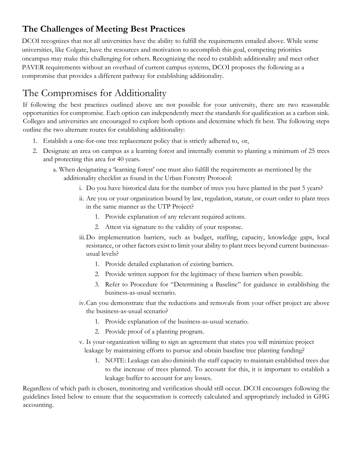#### **The Challenges of Meeting Best Practices**

DCOI recognizes that not all universities have the ability to fulfill the requirements entailed above. While some universities, like Colgate, have the resources and motivation to accomplish this goal, competing priorities oncampus may make this challenging for others. Recognizing the need to establish additionality and meet other PAVER requirements without an overhaul of current campus systems, DCOI proposes the following as a compromise that provides a different pathway for establishing additionality.

#### The Compromises for Additionality

If following the best practices outlined above are not possible for your university, there are two reasonable opportunities for compromise. Each option can independently meet the standards for qualification as a carbon sink. Colleges and universities are encouraged to explore both options and determine which fit best. The following steps outline the two alternate routes for establishing additionality:

- 1. Establish a one-for-one tree replacement policy that is strictly adhered to, or,
- 2. Designate an area on campus as a learning forest and internally commit to planting a minimum of 25 trees and protecting this area for 40 years.
	- a. When designating a 'learning forest' one must also fulfill the requirements as mentioned by the additionality checklist as found in the Urban Forestry Protocol:
		- i. Do you have historical data for the number of trees you have planted in the past 5 years?
		- ii. Are you or your organization bound by law, regulation, statute, or court order to plant trees in the same manner as the UTP Project?
			- 1. Provide explanation of any relevant required actions.
			- 2. Attest via signature to the validity of your response.
		- iii.Do implementation barriers, such as budget, staffing, capacity, knowledge gaps, local resistance, or other factors exist to limit your ability to plant trees beyond current businessasusual levels?
			- 1. Provide detailed explanation of existing barriers.
			- 2. Provide written support for the legitimacy of these barriers when possible.
			- 3. Refer to Procedure for "Determining a Baseline" for guidance in establishing the business-as-usual scenario.
		- iv.Can you demonstrate that the reductions and removals from your offset project are above the business-as-usual scenario?
			- 1. Provide explanation of the business-as-usual scenario.
			- 2. Provide proof of a planting program.
		- v. Is your organization willing to sign an agreement that states you will minimize project leakage by maintaining efforts to pursue and obtain baseline tree planting funding?
			- 1. NOTE: Leakage can also diminish the staff capacity to maintain established trees due to the increase of trees planted. To account for this, it is important to establish a leakage buffer to account for any losses.

Regardless of which path is chosen, monitoring and verification should still occur. DCOI encourages following the guidelines listed below to ensure that the sequestration is correctly calculated and appropriately included in GHG accounting.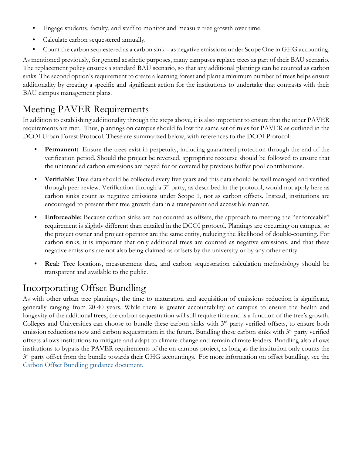- Engage students, faculty, and staff to monitor and measure tree growth over time.
- Calculate carbon sequestered annually.
- Count the carbon sequestered as a carbon sink as negative emissions under Scope One in GHG accounting.

As mentioned previously, for general aesthetic purposes, many campuses replace trees as part of their BAU scenario. The replacement policy ensures a standard BAU scenario, so that any additional plantings can be counted as carbon sinks. The second option's requirement to create a learning forest and plant a minimum number of trees helps ensure additionality by creating a specific and significant action for the institutions to undertake that contrasts with their BAU campus management plans.

#### Meeting PAVER Requirements

In addition to establishing additionality through the steps above, it is also important to ensure that the other PAVER requirements are met. Thus, plantings on campus should follow the same set of rules for PAVER as outlined in the DCOI Urban Forest Protocol. These are summarized below, with references to the DCOI Protocol:

- **Permanent:** Ensure the trees exist in perpetuity, including guaranteed protection through the end of the verification period. Should the project be reversed, appropriate recourse should be followed to ensure that the unintended carbon emissions are payed for or covered by previous buffer pool contributions.
- **Verifiable:** Tree data should be collected every five years and this data should be well managed and verified through peer review. Verification through a 3<sup>rd</sup> party, as described in the protocol, would not apply here as carbon sinks count as negative emissions under Scope 1, not as carbon offsets. Instead, institutions are encouraged to present their tree growth data in a transparent and accessible manner.
- **Enforceable:** Because carbon sinks are not counted as offsets, the approach to meeting the "enforceable" requirement is slightly different than entailed in the DCOI protocol. Plantings are occurring on campus, so the project owner and project operator are the same entity, reducing the likelihood of double-counting. For carbon sinks, it is important that only additional trees are counted as negative emissions, and that these negative emissions are not also being claimed as offsets by the university or by any other entity.
- **Real:** Tree locations, measurement data, and carbon sequestration calculation methodology should be transparent and available to the public.

#### Incorporating Offset Bundling

As with other urban tree plantings, the time to maturation and acquisition of emissions reduction is significant, generally ranging from 20-40 years. While there is greater accountability on-campus to ensure the health and longevity of the additional trees, the carbon sequestration will still require time and is a function of the tree's growth. Colleges and Universities can choose to bundle these carbon sinks with 3<sup>rd</sup> party verified offsets, to ensure both emission reductions now and carbon sequestration in the future. Bundling these carbon sinks with 3<sup>rd</sup> party verified offsets allows institutions to mitigate and adapt to climate change and remain climate leaders. Bundling also allows institutions to bypass the PAVER requirements of the on-campus project, as long as the institution only counts the  $3<sup>rd</sup>$  party offset from the bundle towards their GHG accountings. For more information on offset bundling, see the [Carbon Offset Bundling guidance document.](http://sustainability.duke.edu/carbon_offsets/urban_forestry/offsetbundle)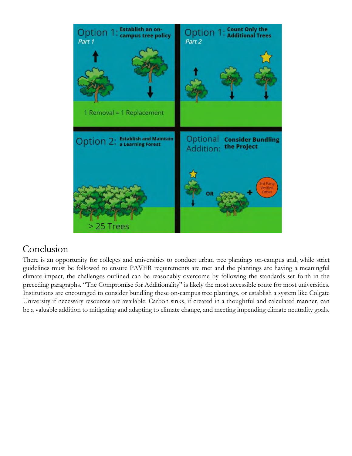

#### Conclusion

There is an opportunity for colleges and universities to conduct urban tree plantings on-campus and, while strict guidelines must be followed to ensure PAVER requirements are met and the plantings are having a meaningful climate impact, the challenges outlined can be reasonably overcome by following the standards set forth in the preceding paragraphs. "The Compromise for Additionality" is likely the most accessible route for most universities. Institutions are encouraged to consider bundling these on-campus tree plantings, or establish a system like Colgate University if necessary resources are available. Carbon sinks, if created in a thoughtful and calculated manner, can be a valuable addition to mitigating and adapting to climate change, and meeting impending climate neutrality goals.